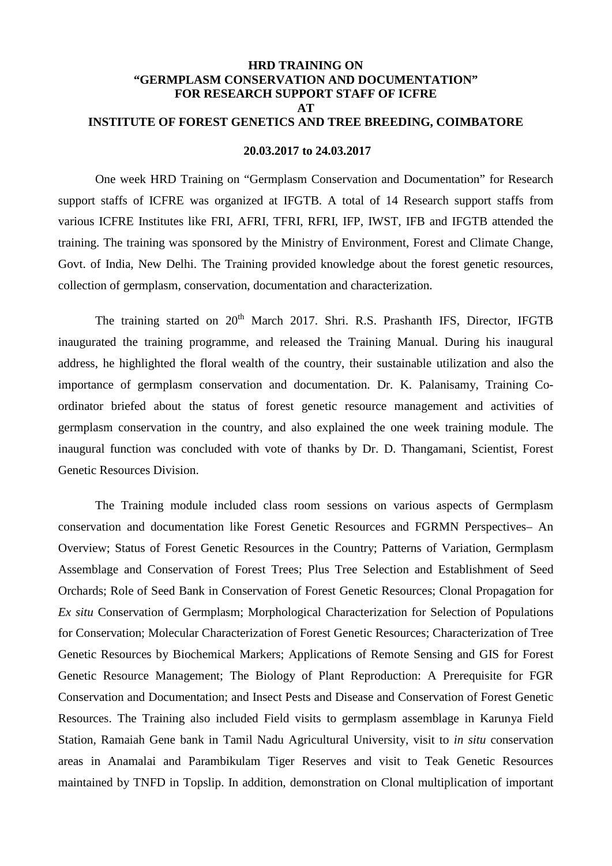## **HRD TRAINING ON "GERMPLASM CONSERVATION AND DOCUMENTATION" FOR RESEARCH SUPPORT STAFF OF ICFRE AT INSTITUTE OF FOREST GENETICS AND TREE BREEDING, COIMBATORE**

## **20.03.2017 to 24.03.2017**

One week HRD Training on "Germplasm Conservation and Documentation" for Research support staffs of ICFRE was organized at IFGTB. A total of 14 Research support staffs from various ICFRE Institutes like FRI, AFRI, TFRI, RFRI, IFP, IWST, IFB and IFGTB attended the training. The training was sponsored by the Ministry of Environment, Forest and Climate Change, Govt. of India, New Delhi. The Training provided knowledge about the forest genetic resources, collection of germplasm, conservation, documentation and characterization.

The training started on 20<sup>th</sup> March 2017, Shri. R.S. Prashanth IFS, Director, IFGTB inaugurated the training programme, and released the Training Manual. During his inaugural address, he highlighted the floral wealth of the country, their sustainable utilization and also the importance of germplasm conservation and documentation. Dr. K. Palanisamy, Training Coordinator briefed about the status of forest genetic resource management and activities of germplasm conservation in the country, and also explained the one week training module. The inaugural function was concluded with vote of thanks by Dr. D. Thangamani, Scientist, Forest Genetic Resources Division.

The Training module included class room sessions on various aspects of Germplasm conservation and documentation like Forest Genetic Resources and FGRMN Perspectives– An Overview; Status of Forest Genetic Resources in the Country; Patterns of Variation, Germplasm Assemblage and Conservation of Forest Trees; Plus Tree Selection and Establishment of Seed Orchards; Role of Seed Bank in Conservation of Forest Genetic Resources; Clonal Propagation for *Ex situ* Conservation of Germplasm; Morphological Characterization for Selection of Populations for Conservation; Molecular Characterization of Forest Genetic Resources; Characterization of Tree Genetic Resources by Biochemical Markers; Applications of Remote Sensing and GIS for Forest Genetic Resource Management; The Biology of Plant Reproduction: A Prerequisite for FGR Conservation and Documentation; and Insect Pests and Disease and Conservation of Forest Genetic Resources. The Training also included Field visits to germplasm assemblage in Karunya Field Station, Ramaiah Gene bank in Tamil Nadu Agricultural University, visit to *in situ* conservation areas in Anamalai and Parambikulam Tiger Reserves and visit to Teak Genetic Resources maintained by TNFD in Topslip. In addition, demonstration on Clonal multiplication of important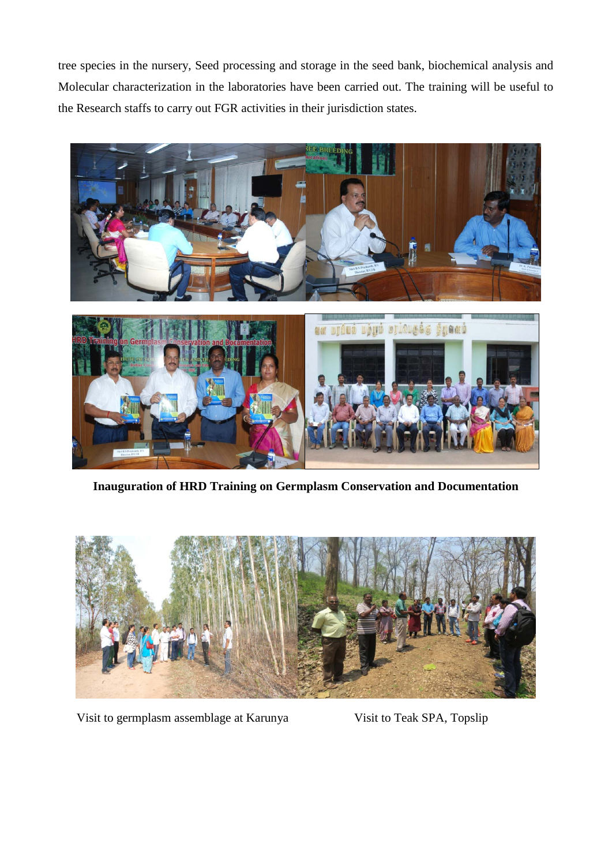tree species in the nursery, Seed processing and storage in the seed bank, biochemical analysis and Molecular characterization in the laboratories have been carried out. The training will be useful to the Research staffs to carry out FGR activities in their jurisdiction states.



**Inauguration of HRD Training on Germplasm Conservation and Documentation**



Visit to germplasm assemblage at Karunya Visit to Teak SPA, Topslip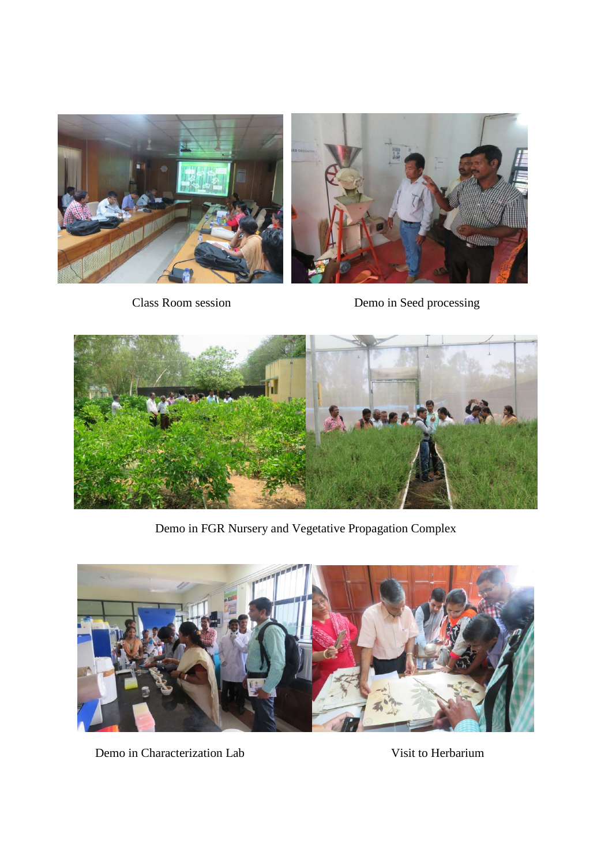

Class Room session Demo in Seed processing



Demo in FGR Nursery and Vegetative Propagation Complex



Demo in Characterization Lab Visit to Herbarium